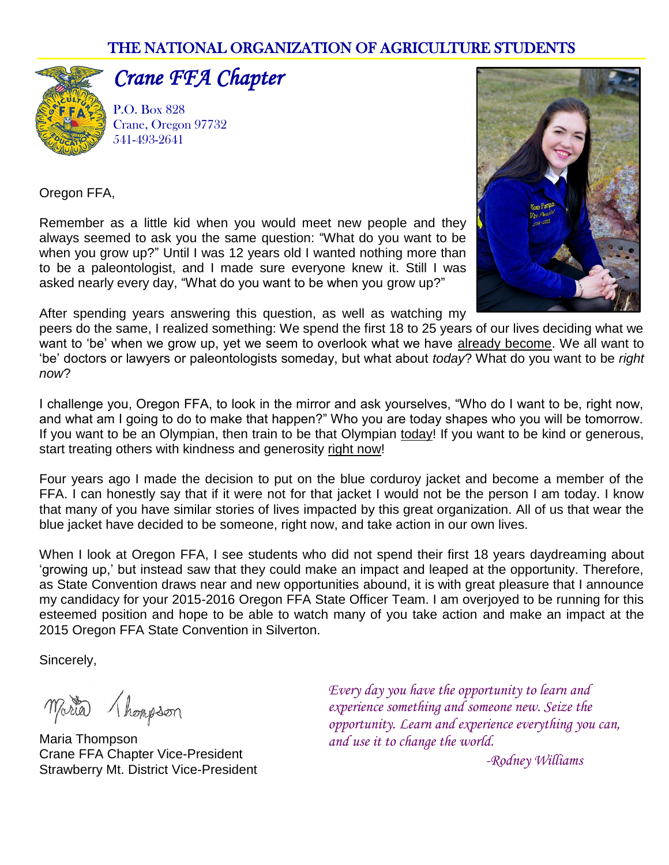#### THE NATIONAL ORGANIZATION OF AGRICULTURE STUDENTS



## *Crane FFA Chapter*

P.O. Box 828 Crane, Oregon 97732 541-493-2641



Oregon FFA,

Remember as a little kid when you would meet new people and they always seemed to ask you the same question: "What do you want to be when you grow up?" Until I was 12 years old I wanted nothing more than to be a paleontologist, and I made sure everyone knew it. Still I was asked nearly every day, "What do you want to be when you grow up?"

After spending years answering this question, as well as watching my

peers do the same, I realized something: We spend the first 18 to 25 years of our lives deciding what we want to 'be' when we grow up, yet we seem to overlook what we have already become. We all want to 'be' doctors or lawyers or paleontologists someday, but what about *today*? What do you want to be *right now*?

I challenge you, Oregon FFA, to look in the mirror and ask yourselves, "Who do I want to be, right now, and what am I going to do to make that happen?" Who you are today shapes who you will be tomorrow. If you want to be an Olympian, then train to be that Olympian today! If you want to be kind or generous, start treating others with kindness and generosity right now!

Four years ago I made the decision to put on the blue corduroy jacket and become a member of the FFA. I can honestly say that if it were not for that jacket I would not be the person I am today. I know that many of you have similar stories of lives impacted by this great organization. All of us that wear the blue jacket have decided to be someone, right now, and take action in our own lives.

When I look at Oregon FFA, I see students who did not spend their first 18 years daydreaming about 'growing up,' but instead saw that they could make an impact and leaped at the opportunity. Therefore, as State Convention draws near and new opportunities abound, it is with great pleasure that I announce my candidacy for your 2015-2016 Oregon FFA State Officer Team. I am overjoyed to be running for this esteemed position and hope to be able to watch many of you take action and make an impact at the 2015 Oregon FFA State Convention in Silverton.

Sincerely,

Maria Champson

Maria Thompson Crane FFA Chapter Vice-President Strawberry Mt. District Vice-President

*Every day you have the opportunity to learn and experience something and someone new. Seize the opportunity. Learn and experience everything you can, and use it to change the world.*

*-Rodney Williams*